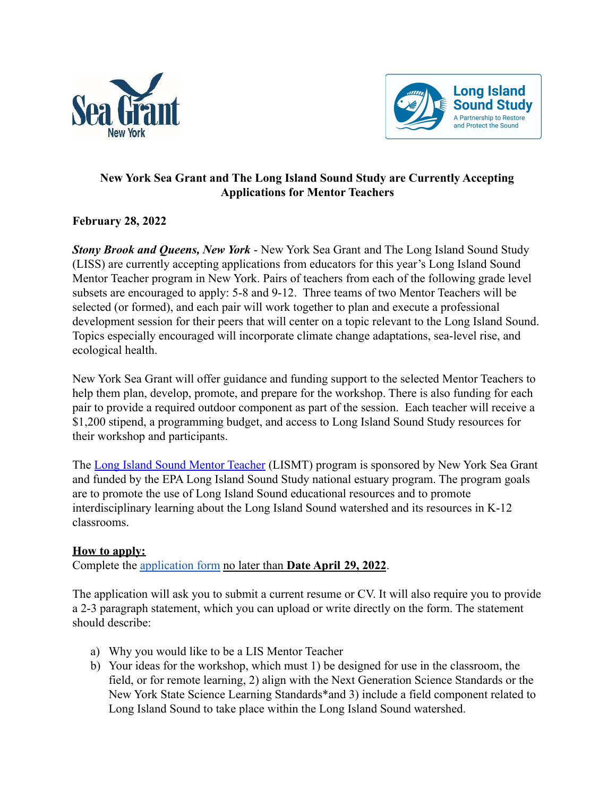



## **New York Sea Grant and The Long Island Sound Study are Currently Accepting Applications for Mentor Teachers**

## **February 28, 2022**

*Stony Brook and Queens, New York* - New York Sea Grant and The Long Island Sound Study (LISS) are currently accepting applications from educators for this year's Long Island Sound Mentor Teacher program in New York. Pairs of teachers from each of the following grade level subsets are encouraged to apply: 5-8 and 9-12. Three teams of two Mentor Teachers will be selected (or formed), and each pair will work together to plan and execute a professional development session for their peers that will center on a topic relevant to the Long Island Sound. Topics especially encouraged will incorporate climate change adaptations, sea-level rise, and ecological health.

New York Sea Grant will offer guidance and funding support to the selected Mentor Teachers to help them plan, develop, promote, and prepare for the workshop. There is also funding for each pair to provide a required outdoor component as part of the session. Each teacher will receive a \$1,200 stipend, a programming budget, and access to Long Island Sound Study resources for their workshop and participants.

The [Long Island Sound Mentor Teacher](http://longislandsoundstudy.net/get-involved/teaching-resources/mentor-teacher-program/) (LISMT) program is sponsored by New York Sea Grant and funded by the EPA Long Island Sound Study national estuary program. The program goals are to promote the use of Long Island Sound educational resources and to promote interdisciplinary learning about the Long Island Sound watershed and its resources in K-12 classrooms.

## **How to apply:**

Complete the [application form](https://cornell.ca1.qualtrics.com/jfe/form/SV_bvdwdITiWKkYdQG) no later than **Date April 29, 2022**.

The application will ask you to submit a current resume or CV. It will also require you to provide a 2-3 paragraph statement, which you can upload or write directly on the form. The statement should describe:

- a) Why you would like to be a LIS Mentor Teacher
- b) Your ideas for the workshop, which must 1) be designed for use in the classroom, the field, or for remote learning, 2) align with the Next Generation Science Standards or the New York State Science Learning Standards\*and 3) include a field component related to Long Island Sound to take place within the Long Island Sound watershed.